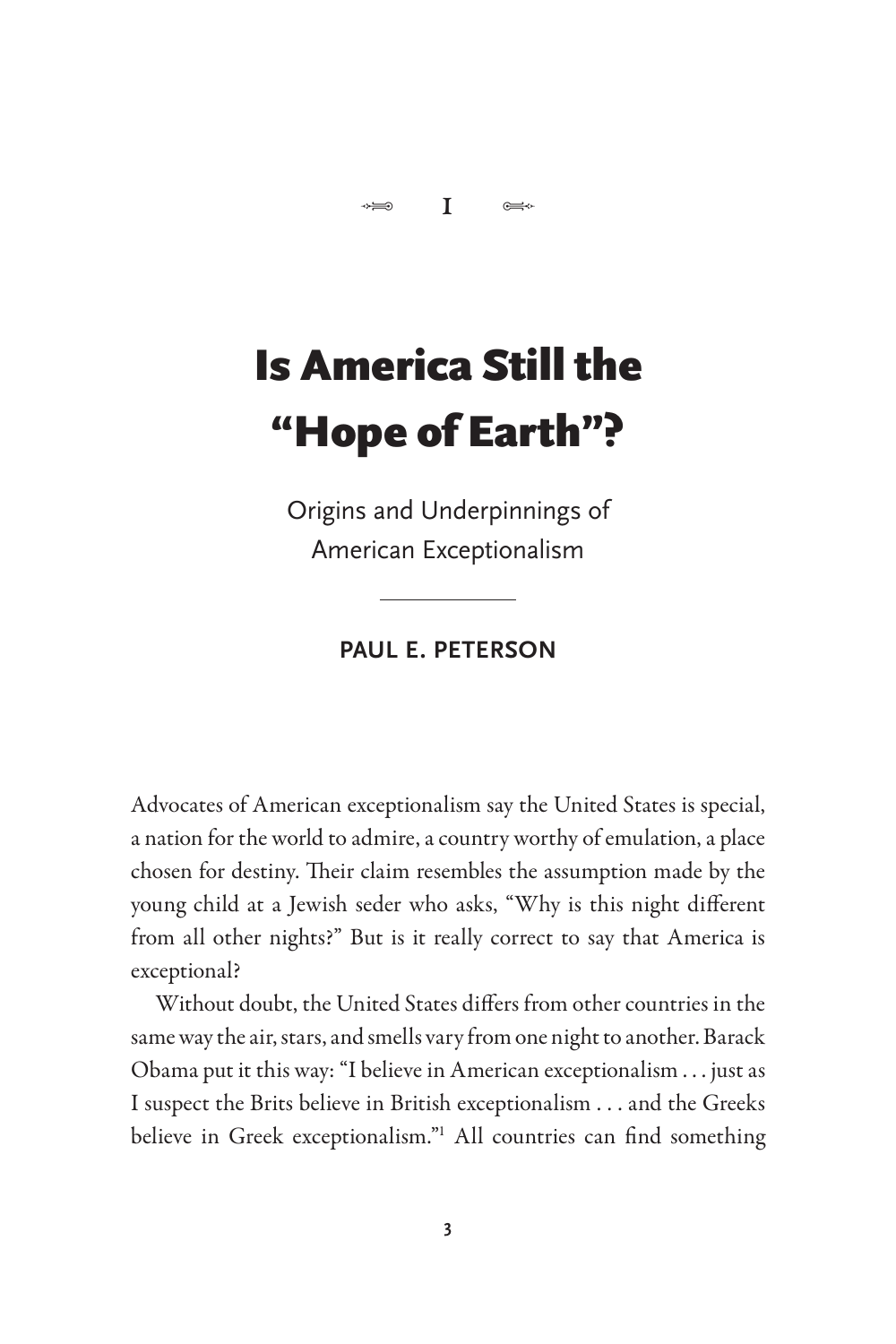$\Longleftrightarrow$  $\blacksquare$ 

# Is America Still the "Hope of Earth"?

Origins and Underpinnings of American Exceptionalism

## **PAUL E. PETERSON**

Advocates of American exceptionalism say the United States is special, a nation for the world to admire, a country worthy of emulation, a place chosen for destiny. Their claim resembles the assumption made by the young child at a Jewish seder who asks, "Why is this night different from all other nights?" But is it really correct to say that America is exceptional?

Without doubt, the United States differs from other countries in the same way the air, stars, and smells vary from one night to another. Barack Obama put it this way: "I believe in American exceptionalism . . . just as I suspect the Brits believe in British exceptionalism . . . and the Greeks believe in Greek exceptionalism."<sup>1</sup> All countries can find something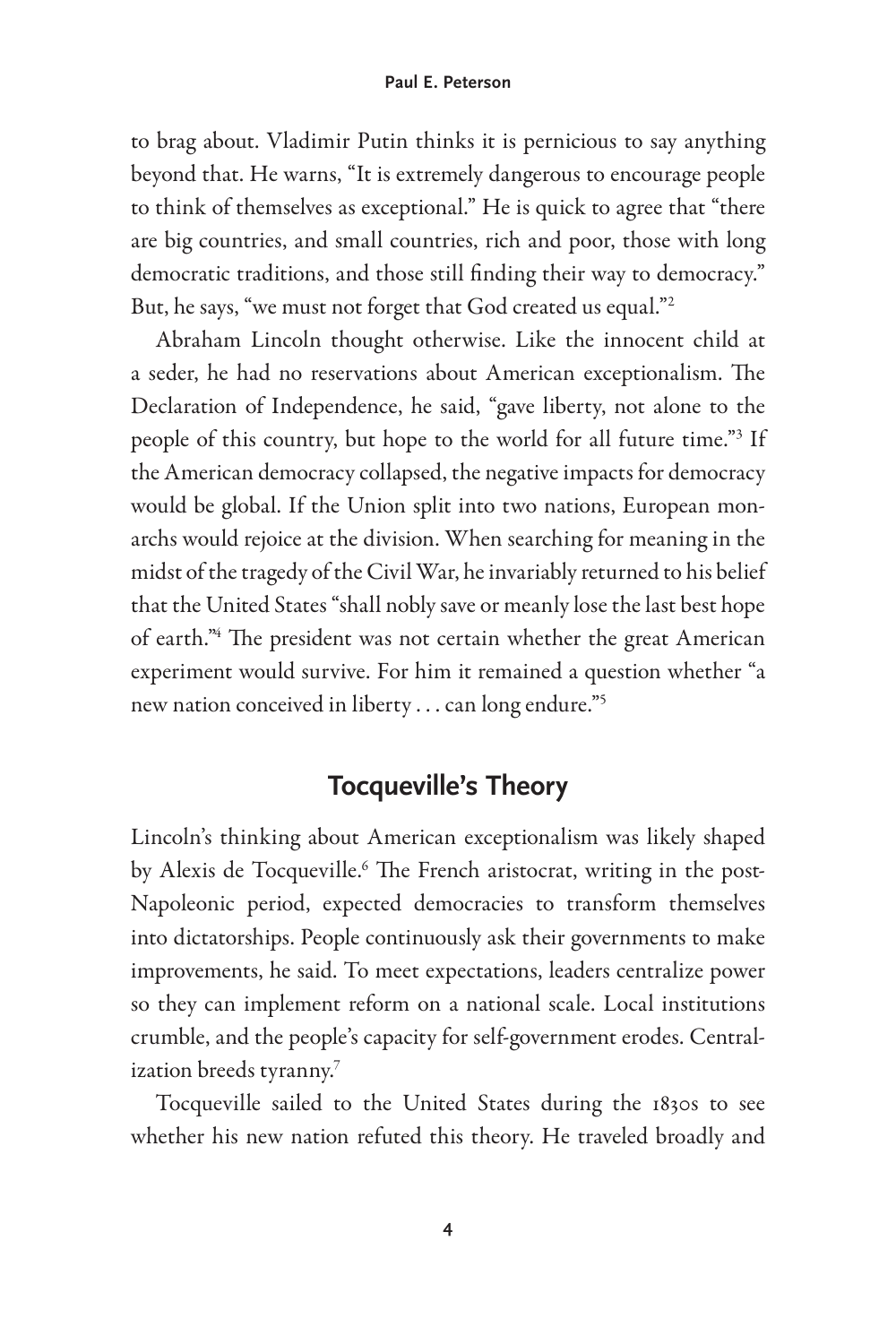to brag about. Vladimir Putin thinks it is pernicious to say anything beyond that. He warns, "It is extremely dangerous to encourage people to think of themselves as exceptional." He is quick to agree that "there are big countries, and small countries, rich and poor, those with long democratic traditions, and those still finding their way to democracy." But, he says, "we must not forget that God created us equal."2

Abraham Lincoln thought otherwise. Like the innocent child at a seder, he had no reservations about American exceptionalism. The Declaration of Independence, he said, "gave liberty, not alone to the people of this country, but hope to the world for all future time."<sup>3</sup> If the American democracy collapsed, the negative impacts for democracy would be global. If the Union split into two nations, European monarchs would rejoice at the division. When searching for meaning in the midst of the tragedy of the Civil War, he invariably returned to his belief that the United States "shall nobly save or meanly lose the last best hope of earth."<sup>4</sup> The president was not certain whether the great American experiment would survive. For him it remained a question whether "a new nation conceived in liberty . . . can long endure."5

# **Tocqueville's Theory**

Lincoln's thinking about American exceptionalism was likely shaped by Alexis de Tocqueville.<sup>6</sup> The French aristocrat, writing in the post-Napoleonic period, expected democracies to transform themselves into dictatorships. People continuously ask their governments to make improvements, he said. To meet expectations, leaders centralize power so they can implement reform on a national scale. Local institutions crumble, and the people's capacity for self- government erodes. Centralization breeds tyranny.7

Tocqueville sailed to the United States during the 1830s to see whether his new nation refuted this theory. He traveled broadly and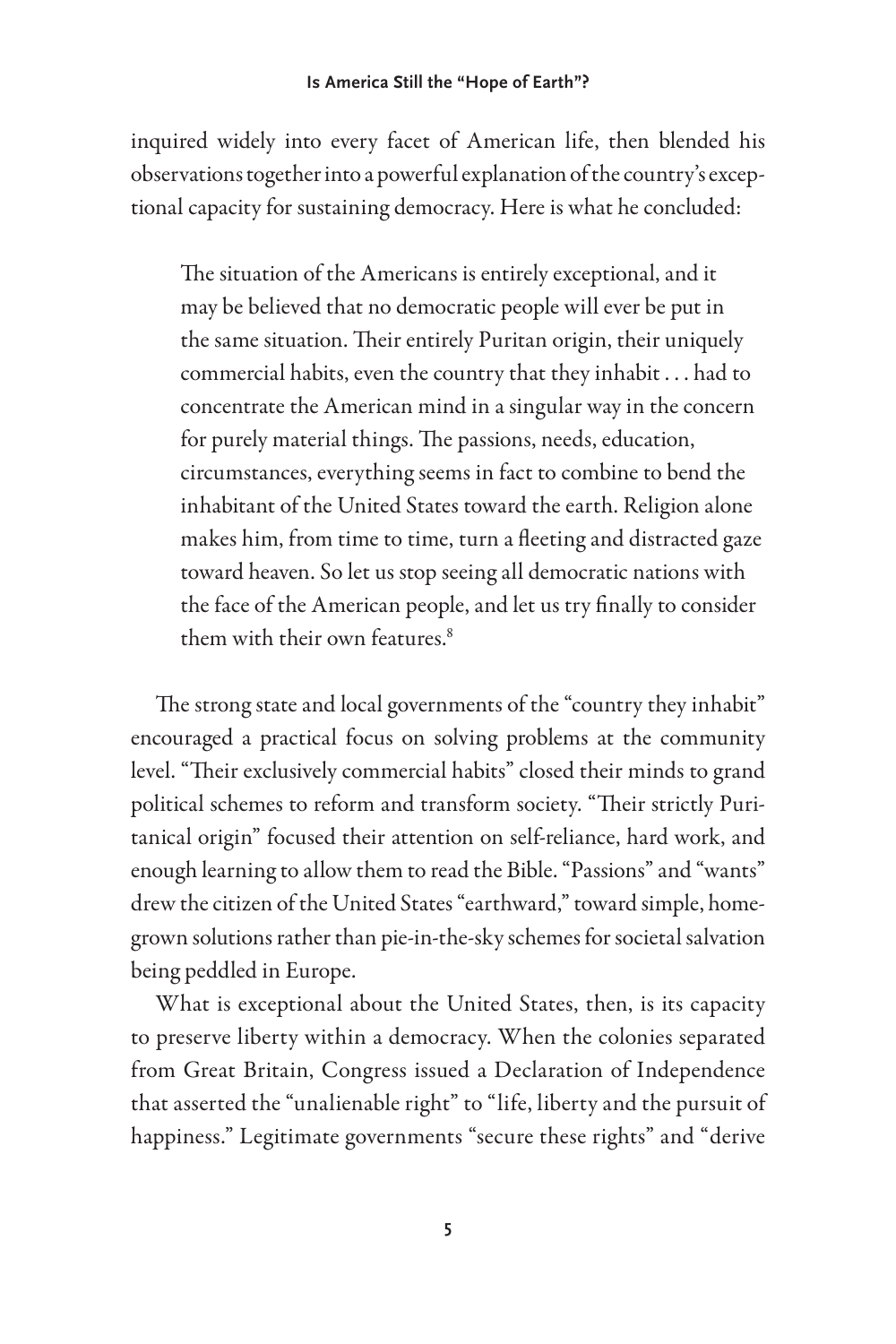#### **Is America Still the "Hope of Earth"?**

inquired widely into every facet of American life, then blended his observations together into a powerful explanation of the country's exceptional capacity for sustaining democracy. Here is what he concluded:

The situation of the Americans is entirely exceptional, and it may be believed that no democratic people will ever be put in the same situation. Their entirely Puritan origin, their uniquely commercial habits, even the country that they inhabit . . . had to concentrate the American mind in a singular way in the concern for purely material things. The passions, needs, education, circumstances, everything seems in fact to combine to bend the inhabitant of the United States toward the earth. Religion alone makes him, from time to time, turn a fleeting and distracted gaze toward heaven. So let us stop seeing all democratic nations with the face of the American people, and let us try finally to consider them with their own features.<sup>8</sup>

The strong state and local governments of the "country they inhabit" encouraged a practical focus on solving problems at the community level. "Their exclusively commercial habits" closed their minds to grand political schemes to reform and transform society. "Their strictly Puritanical origin" focused their attention on self-reliance, hard work, and enough learning to allow them to read the Bible. "Passions" and "wants" drew the citizen of the United States "earthward," toward simple, homegrown solutions rather than pie-in-the-sky schemes for societal salvation being peddled in Europe.

What is exceptional about the United States, then, is its capacity to preserve liberty within a democracy. When the colonies separated from Great Britain, Congress issued a Declaration of Independence that asserted the "unalienable right" to "life, liberty and the pursuit of happiness." Legitimate governments "secure these rights" and "derive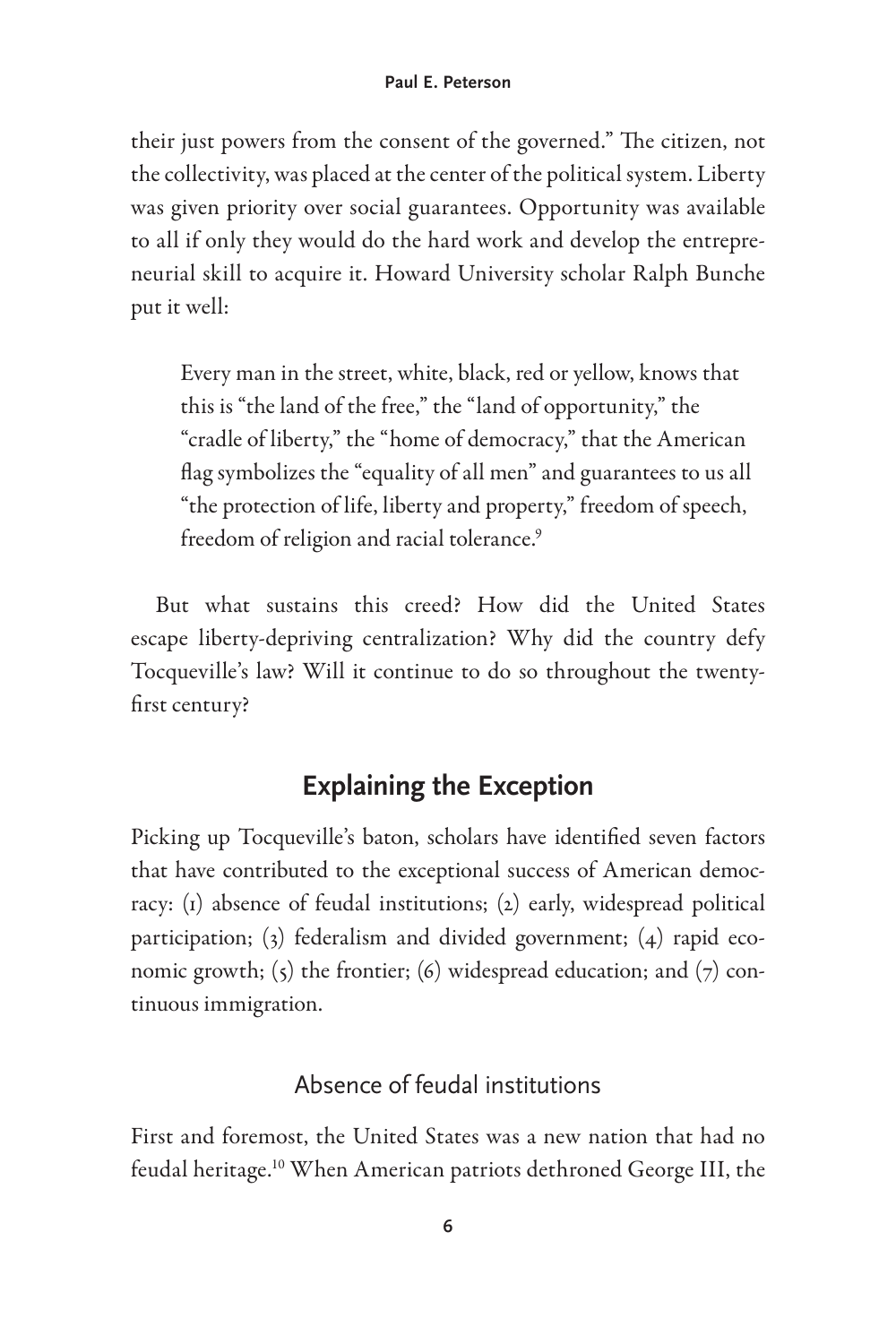their just powers from the consent of the governed." The citizen, not the collectivity, was placed at the center of the political system. Liberty was given priority over social guarantees. Opportunity was available to all if only they would do the hard work and develop the entrepreneurial skill to acquire it. Howard University scholar Ralph Bunche put it well:

Every man in the street, white, black, red or yellow, knows that this is "the land of the free," the "land of opportunity," the "cradle of liberty," the "home of democracy," that the American flag symbolizes the "equality of all men" and guarantees to us all "the protection of life, liberty and property," freedom of speech, freedom of religion and racial tolerance.<sup>9</sup>

But what sustains this creed? How did the United States escape liberty- depriving centralization? Why did the country defy Tocqueville's law? Will it continue to do so throughout the twentyfirst century?

# **Explaining the Exception**

Picking up Tocqueville's baton, scholars have identified seven factors that have contributed to the exceptional success of American democracy: (1) absence of feudal institutions; (2) early, widespread political participation; (3) federalism and divided government; (4) rapid economic growth;  $\zeta$  the frontier;  $\zeta$  widespread education; and  $\zeta$  continuous immigration.

# Absence of feudal institutions

First and foremost, the United States was a new nation that had no feudal heritage.10 When American patriots dethroned George III, the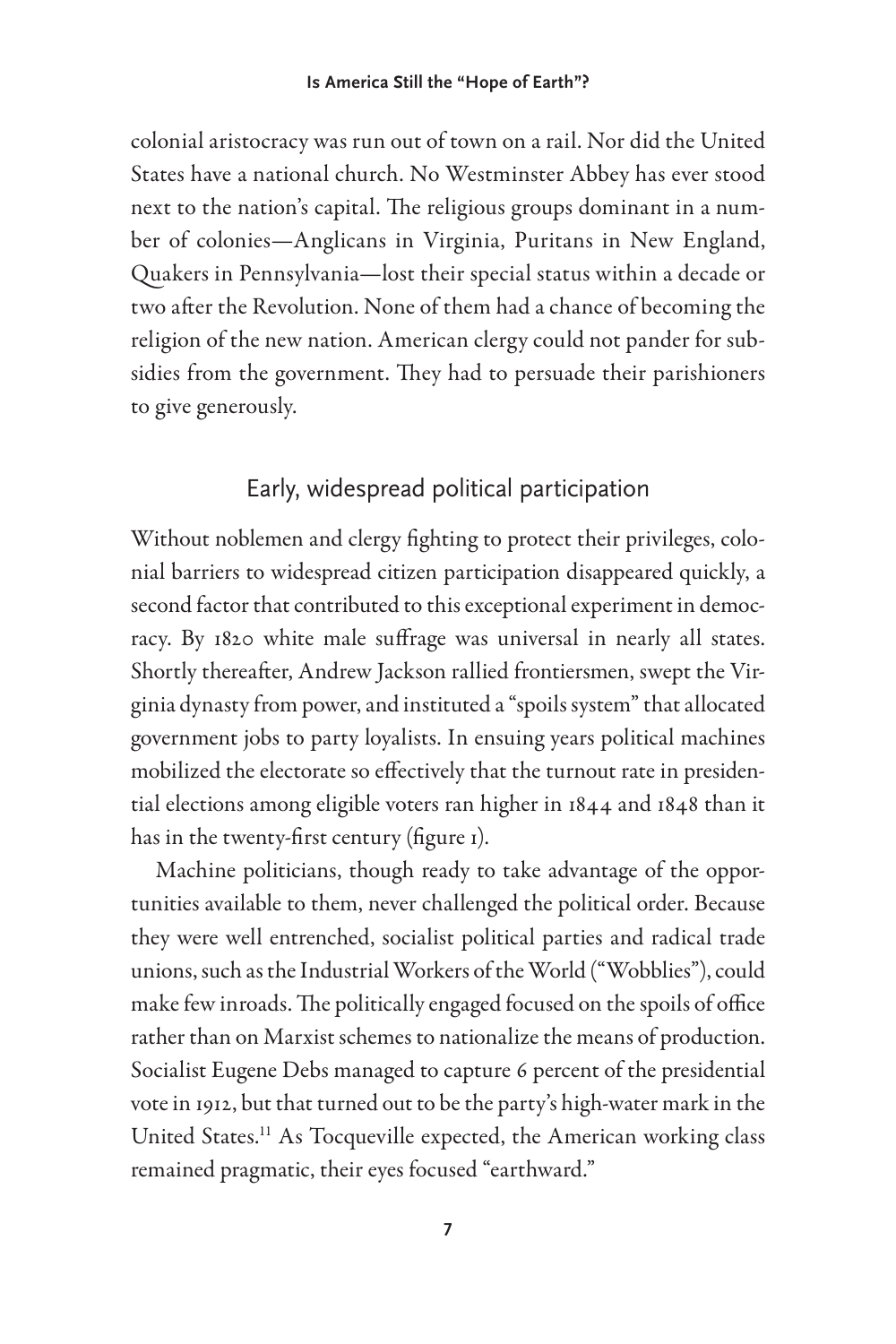#### **Is America Still the "Hope of Earth"?**

colonial aristocracy was run out of town on a rail. Nor did the United States have a national church. No Westminster Abbey has ever stood next to the nation's capital. The religious groups dominant in a number of colonies—Anglicans in Virginia, Puritans in New England, Quakers in Pennsylvania—lost their special status within a decade or two after the Revolution. None of them had a chance of becoming the religion of the new nation. American clergy could not pander for subsidies from the government. They had to persuade their parishioners to give generously.

## Early, widespread political participation

Without noblemen and clergy fighting to protect their privileges, colonial barriers to widespread citizen participation disappeared quickly, a second factor that contributed to this exceptional experiment in democracy. By 1820 white male suffrage was universal in nearly all states. Shortly thereafter, Andrew Jackson rallied frontiersmen, swept the Virginia dynasty from power, and instituted a "spoils system" that allocated government jobs to party loyalists. In ensuing years political machines mobilized the electorate so effectively that the turnout rate in presidential elections among eligible voters ran higher in 1844 and 1848 than it has in the twenty-first century (figure 1).

Machine politicians, though ready to take advantage of the opportunities available to them, never challenged the political order. Because they were well entrenched, socialist political parties and radical trade unions, such as the Industrial Workers of the World ("Wobblies"), could make few inroads. The politically engaged focused on the spoils of office rather than on Marxist schemes to nationalize the means of production. Socialist Eugene Debs managed to capture 6 percent of the presidential vote in 1912, but that turned out to be the party's high-water mark in the United States.<sup>11</sup> As Tocqueville expected, the American working class remained pragmatic, their eyes focused "earthward."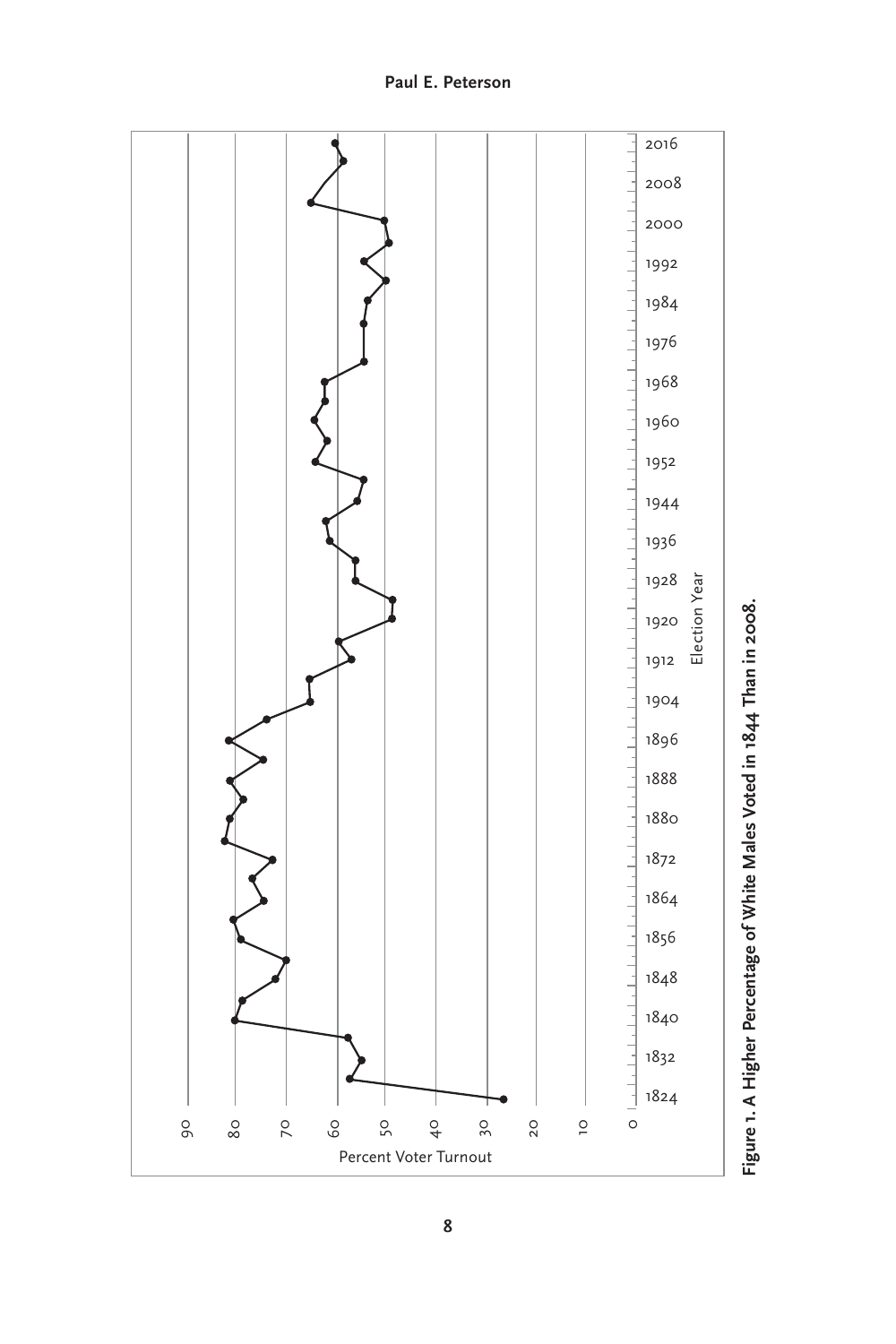

### **Paul E. Peterson**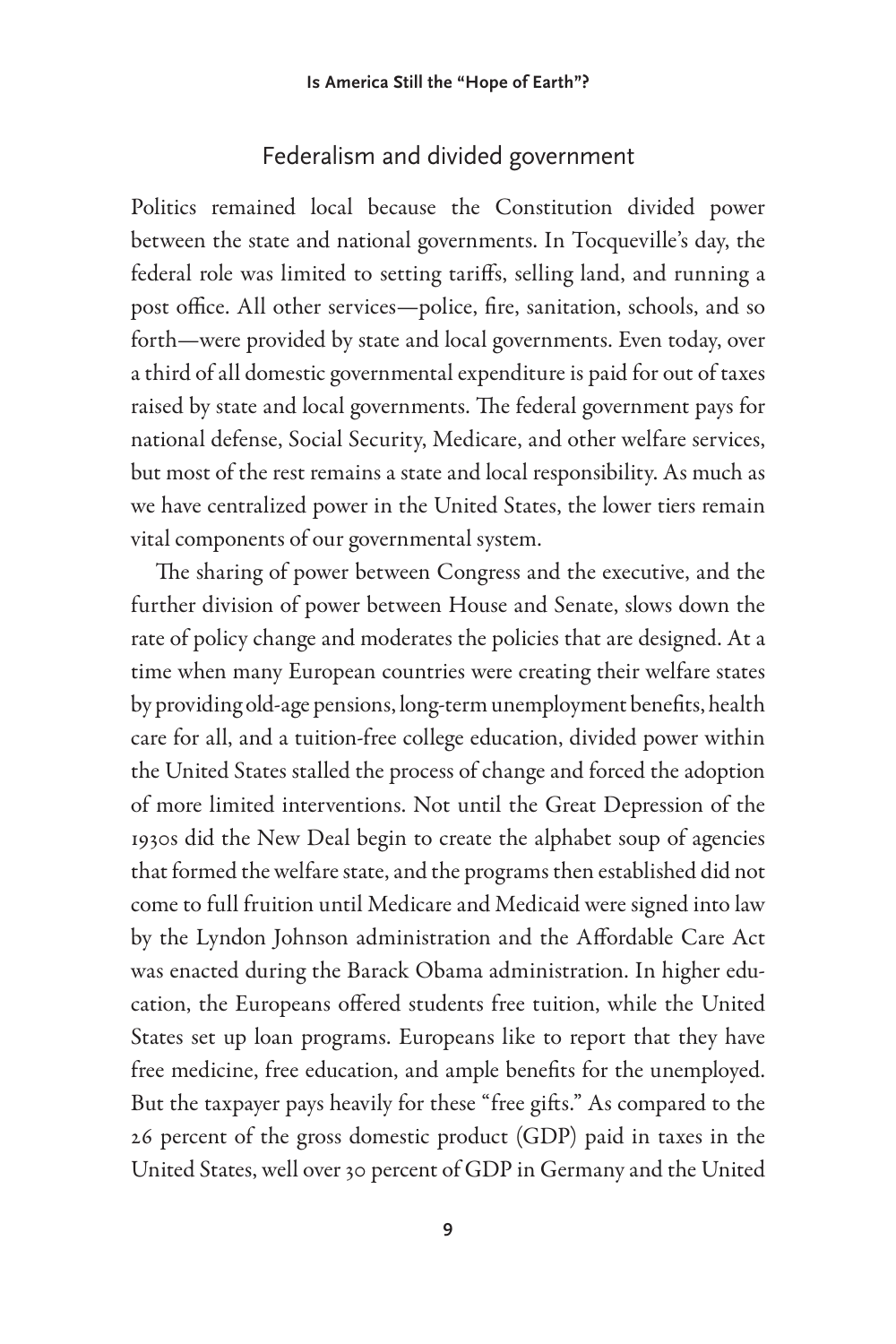## Federalism and divided government

Politics remained local because the Constitution divided power between the state and national governments. In Tocqueville's day, the federal role was limited to setting tariffs, selling land, and running a post office. All other services—police, fire, sanitation, schools, and so forth—were provided by state and local governments. Even today, over a third of all domestic governmental expenditure is paid for out of taxes raised by state and local governments. The federal government pays for national defense, Social Security, Medicare, and other welfare services, but most of the rest remains a state and local responsibility. As much as we have centralized power in the United States, the lower tiers remain vital components of our governmental system.

The sharing of power between Congress and the executive, and the further division of power between House and Senate, slows down the rate of policy change and moderates the policies that are designed. At a time when many European countries were creating their welfare states by providing old-age pensions, long-term unemployment benefits, health care for all, and a tuition- free college education, divided power within the United States stalled the process of change and forced the adoption of more limited interventions. Not until the Great Depression of the 1930s did the New Deal begin to create the alphabet soup of agencies that formed the welfare state, and the programs then established did not come to full fruition until Medicare and Medicaid were signed into law by the Lyndon Johnson administration and the Affordable Care Act was enacted during the Barack Obama administration. In higher education, the Europeans offered students free tuition, while the United States set up loan programs. Europeans like to report that they have free medicine, free education, and ample benefits for the unemployed. But the taxpayer pays heavily for these "free gifts." As compared to the 26 percent of the gross domestic product (GDP) paid in taxes in the United States, well over 30 percent of GDP in Germany and the United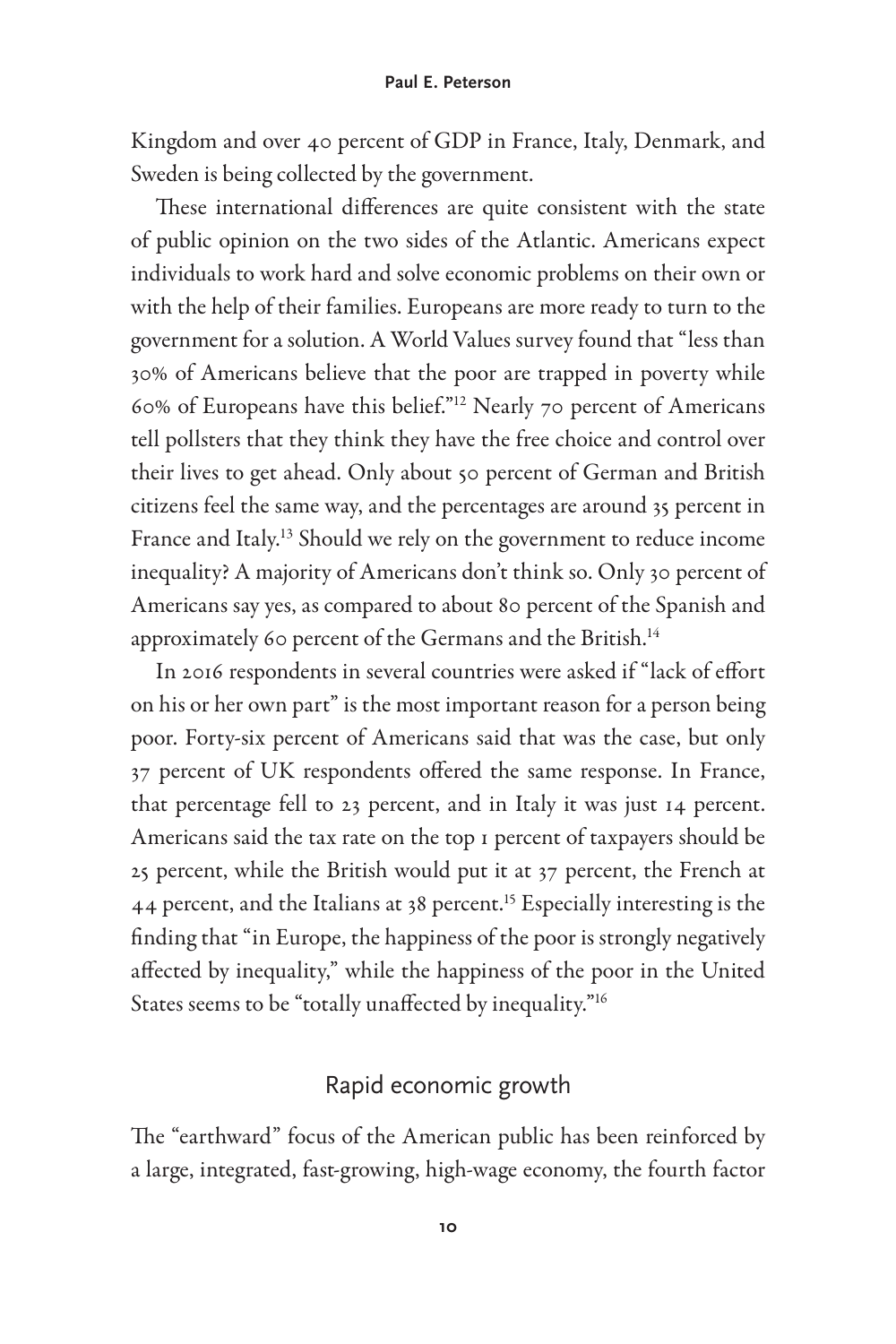Kingdom and over 40 percent of GDP in France, Italy, Denmark, and Sweden is being collected by the government.

These international differences are quite consistent with the state of public opinion on the two sides of the Atlantic. Americans expect individuals to work hard and solve economic problems on their own or with the help of their families. Europeans are more ready to turn to the government for a solution. A World Values survey found that "less than 30% of Americans believe that the poor are trapped in poverty while 60% of Europeans have this belief."12 Nearly 70 percent of Americans tell pollsters that they think they have the free choice and control over their lives to get ahead. Only about 50 percent of German and British citizens feel the same way, and the percentages are around 35 percent in France and Italy.<sup>13</sup> Should we rely on the government to reduce income inequality? A majority of Americans don't think so. Only 30 percent of Americans say yes, as compared to about 80 percent of the Spanish and approximately 60 percent of the Germans and the British.<sup>14</sup>

In 2016 respondents in several countries were asked if "lack of effort on his or her own part" is the most important reason for a person being poor. Forty-six percent of Americans said that was the case, but only 37 percent of UK respondents offered the same response. In France, that percentage fell to 23 percent, and in Italy it was just 14 percent. Americans said the tax rate on the top 1 percent of taxpayers should be 25 percent, while the British would put it at 37 percent, the French at 44 percent, and the Italians at 38 percent.<sup>15</sup> Especially interesting is the finding that "in Europe, the happiness of the poor is strongly negatively affected by inequality," while the happiness of the poor in the United States seems to be "totally unaffected by inequality."<sup>16</sup>

## Rapid economic growth

The "earthward" focus of the American public has been reinforced by a large, integrated, fast-growing, high-wage economy, the fourth factor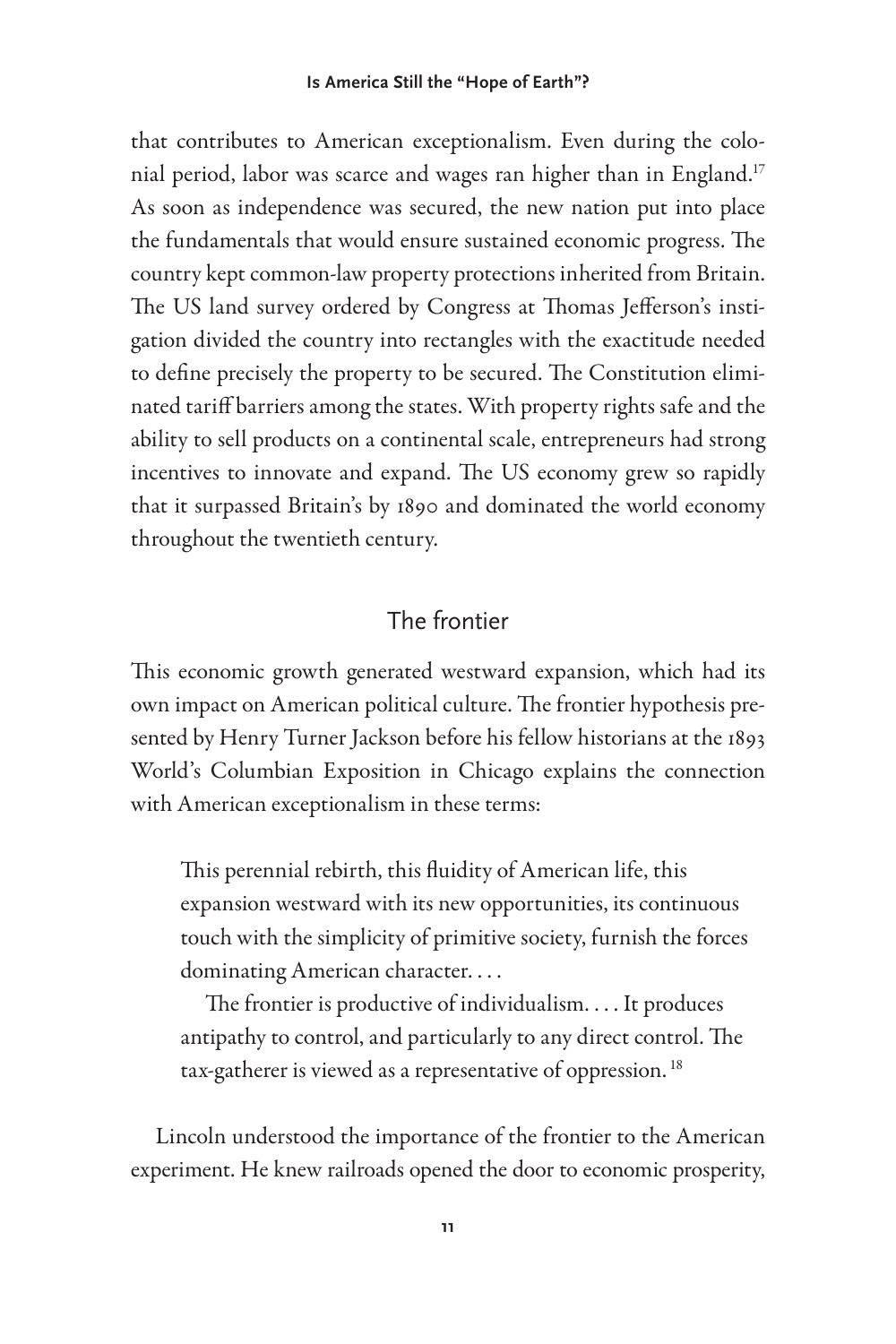that contributes to American exceptionalism. Even during the colonial period, labor was scarce and wages ran higher than in England.17 As soon as independence was secured, the new nation put into place the fundamentals that would ensure sustained economic progress. The country kept common-law property protections inherited from Britain. The US land survey ordered by Congress at Thomas Jefferson's instigation divided the country into rectangles with the exactitude needed to define precisely the property to be secured. The Constitution eliminated tariff barriers among the states. With property rights safe and the ability to sell products on a continental scale, entrepreneurs had strong incentives to innovate and expand. The US economy grew so rapidly that it surpassed Britain's by 1890 and dominated the world economy throughout the twentieth century.

# The frontier

This economic growth generated westward expansion, which had its own impact on American political culture. The frontier hypothesis presented by Henry Turner Jackson before his fellow historians at the 1893 World's Columbian Exposition in Chicago explains the connection with American exceptionalism in these terms:

This perennial rebirth, this fluidity of American life, this expansion westward with its new opportunities, its continuous touch with the simplicity of primitive society, furnish the forces dominating American character. . . .

The frontier is productive of individualism.... It produces antipathy to control, and particularly to any direct control. The tax-gatherer is viewed as a representative of oppression.<sup>18</sup>

Lincoln understood the importance of the frontier to the American experiment. He knew railroads opened the door to economic prosperity,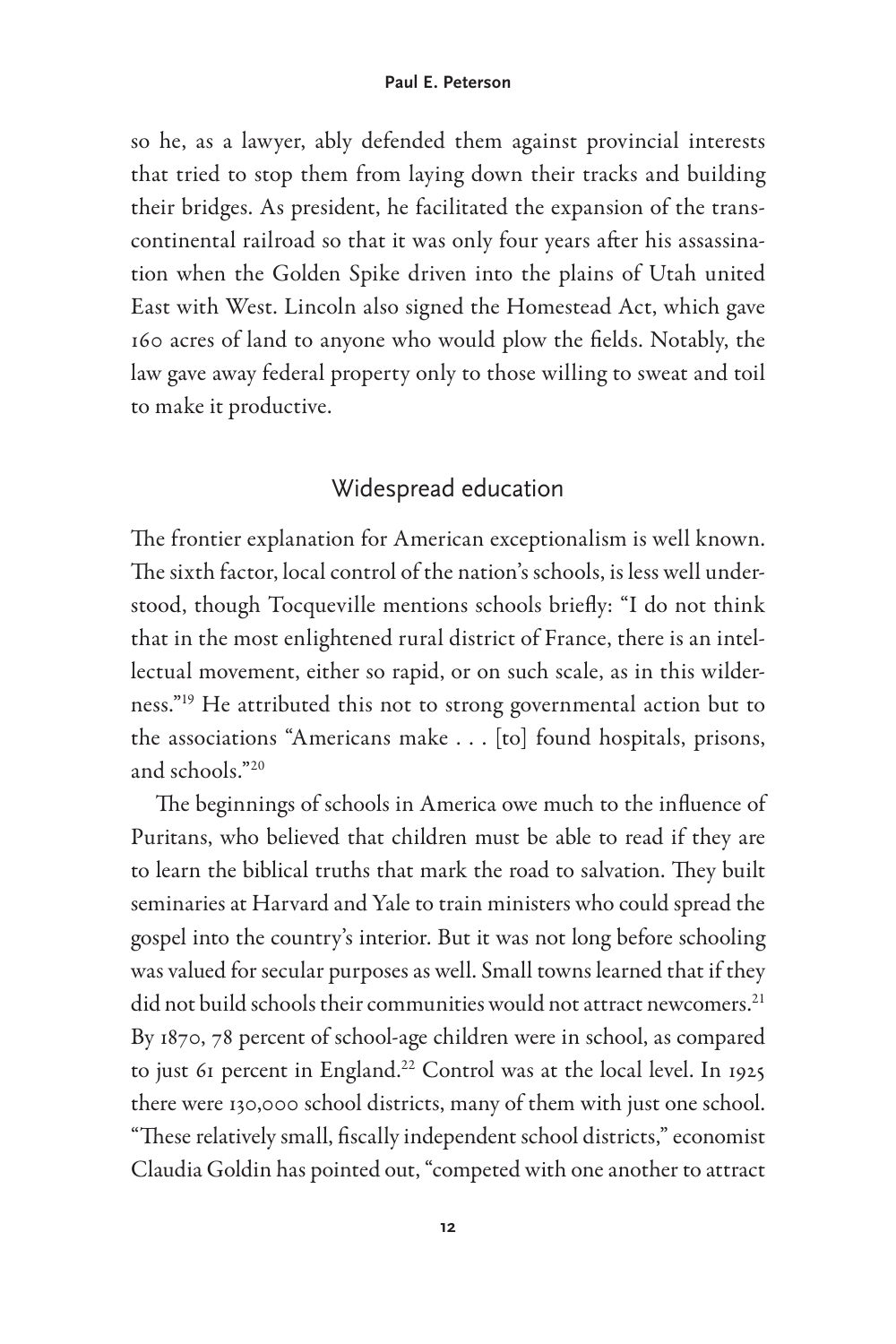#### **Paul E. Peterson**

so he, as a lawyer, ably defended them against provincial interests that tried to stop them from laying down their tracks and building their bridges. As president, he facilitated the expansion of the transcontinental railroad so that it was only four years after his assassination when the Golden Spike driven into the plains of Utah united East with West. Lincoln also signed the Homestead Act, which gave 160 acres of land to anyone who would plow the fields. Notably, the law gave away federal property only to those willing to sweat and toil to make it productive.

## Widespread education

The frontier explanation for American exceptionalism is well known. The sixth factor, local control of the nation's schools, is less well understood, though Tocqueville mentions schools briefly: "I do not think that in the most enlightened rural district of France, there is an intellectual movement, either so rapid, or on such scale, as in this wilderness."19 He attributed this not to strong governmental action but to the associations "Americans make . . . [to] found hospitals, prisons, and schools."20

The beginnings of schools in America owe much to the influence of Puritans, who believed that children must be able to read if they are to learn the biblical truths that mark the road to salvation. They built seminaries at Harvard and Yale to train ministers who could spread the gospel into the country's interior. But it was not long before schooling was valued for secular purposes as well. Small towns learned that if they did not build schools their communities would not attract newcomers.<sup>21</sup> By 1870, 78 percent of school-age children were in school, as compared to just 61 percent in England.<sup>22</sup> Control was at the local level. In 1925 there were 130,000 school districts, many of them with just one school. "These relatively small, fiscally independent school districts," economist Claudia Goldin has pointed out, "competed with one another to attract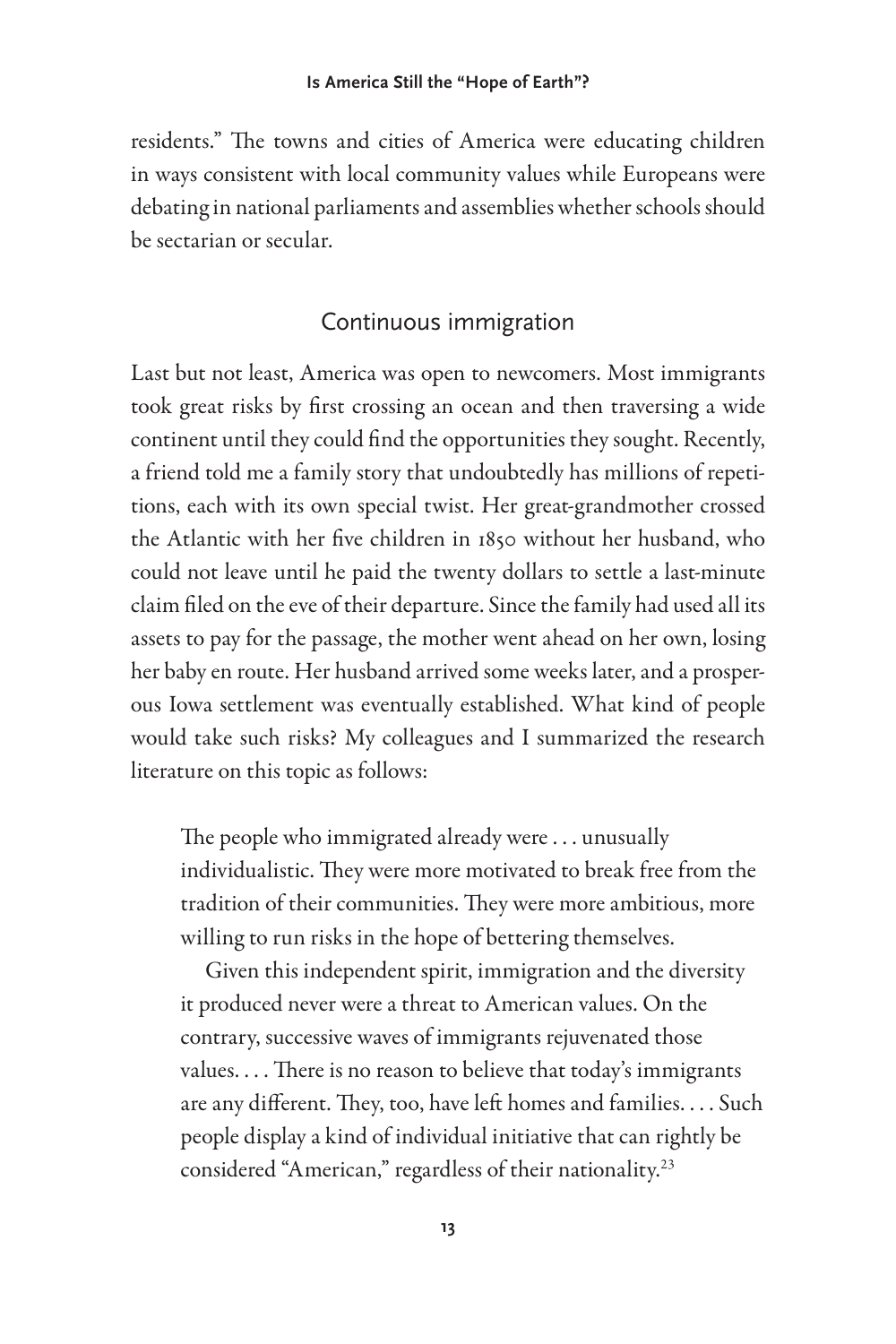residents." The towns and cities of America were educating children in ways consistent with local community values while Europeans were debating in national parliaments and assemblies whether schools should be sectarian or secular.

## Continuous immigration

Last but not least, America was open to newcomers. Most immigrants took great risks by first crossing an ocean and then traversing a wide continent until they could find the opportunities they sought. Recently, a friend told me a family story that undoubtedly has millions of repetitions, each with its own special twist. Her great-grandmother crossed the Atlantic with her five children in 1850 without her husband, who could not leave until he paid the twenty dollars to settle a last-minute claim filed on the eve of their departure. Since the family had used all its assets to pay for the passage, the mother went ahead on her own, losing her baby en route. Her husband arrived some weeks later, and a prosperous Iowa settlement was eventually established. What kind of people would take such risks? My colleagues and I summarized the research literature on this topic as follows:

The people who immigrated already were  $\dots$  unusually individualistic. They were more motivated to break free from the tradition of their communities. They were more ambitious, more willing to run risks in the hope of bettering themselves.

Given this independent spirit, immigration and the diversity it produced never were a threat to American values. On the contrary, successive waves of immigrants rejuvenated those values.... There is no reason to believe that today's immigrants are any different. They, too, have left homes and families. . . . Such people display a kind of individual initiative that can rightly be considered "American," regardless of their nationality.23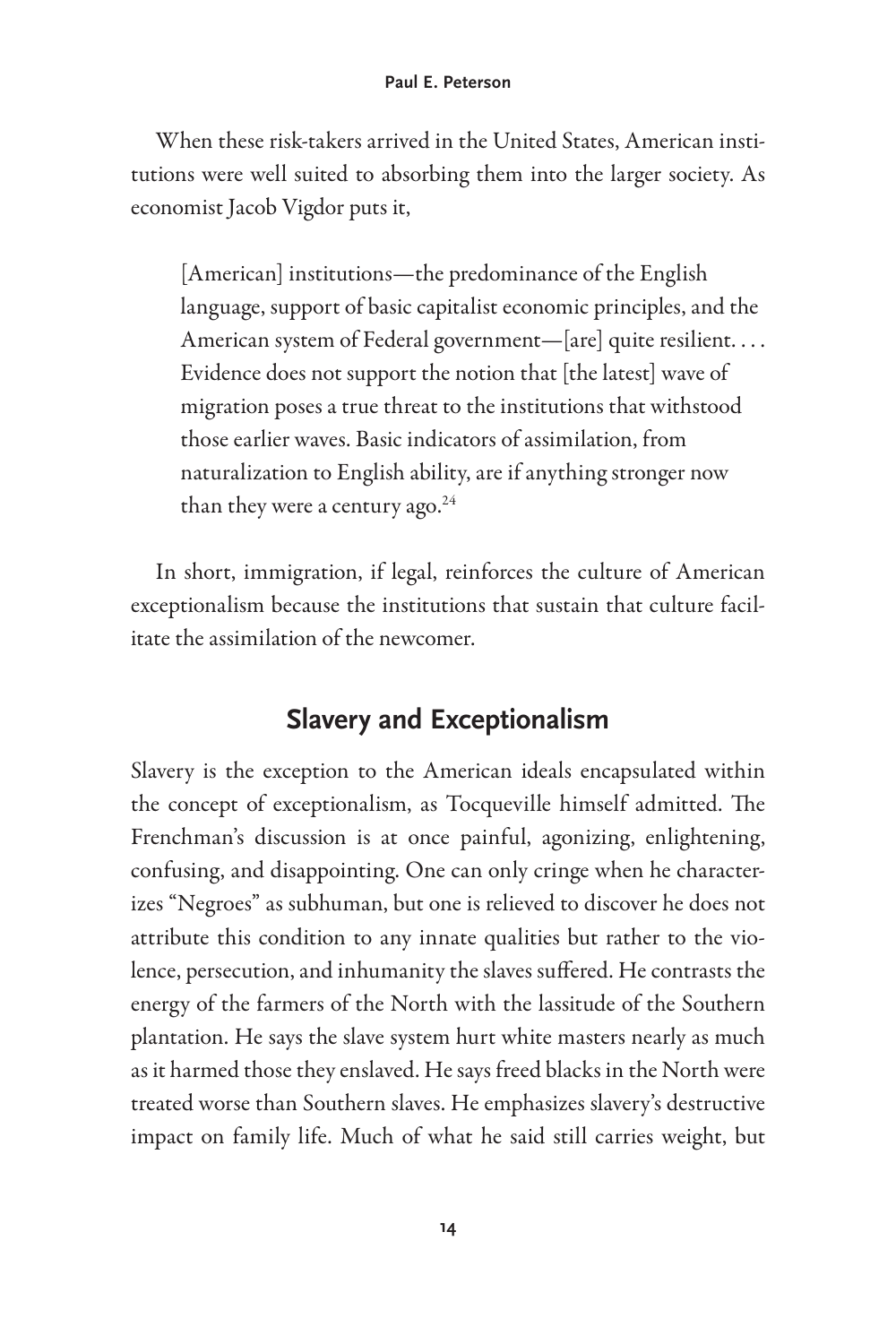#### **Paul E. Peterson**

When these risk-takers arrived in the United States, American institutions were well suited to absorbing them into the larger society. As economist Jacob Vigdor puts it,

[American] institutions—the predominance of the English language, support of basic capitalist economic principles, and the American system of Federal government—[are] quite resilient. . . . Evidence does not support the notion that [the latest] wave of migration poses a true threat to the institutions that withstood those earlier waves. Basic indicators of assimilation, from naturalization to English ability, are if anything stronger now than they were a century ago. $24$ 

In short, immigration, if legal, reinforces the culture of American exceptionalism because the institutions that sustain that culture facilitate the assimilation of the newcomer.

# **Slavery and Exceptionalism**

Slavery is the exception to the American ideals encapsulated within the concept of exceptionalism, as Tocqueville himself admitted. The Frenchman's discussion is at once painful, agonizing, enlightening, confusing, and disappointing. One can only cringe when he characterizes "Negroes" as subhuman, but one is relieved to discover he does not attribute this condition to any innate qualities but rather to the violence, persecution, and inhumanity the slaves suffered. He contrasts the energy of the farmers of the North with the lassitude of the Southern plantation. He says the slave system hurt white masters nearly as much as it harmed those they enslaved. He says freed blacks in the North were treated worse than Southern slaves. He emphasizes slavery's destructive impact on family life. Much of what he said still carries weight, but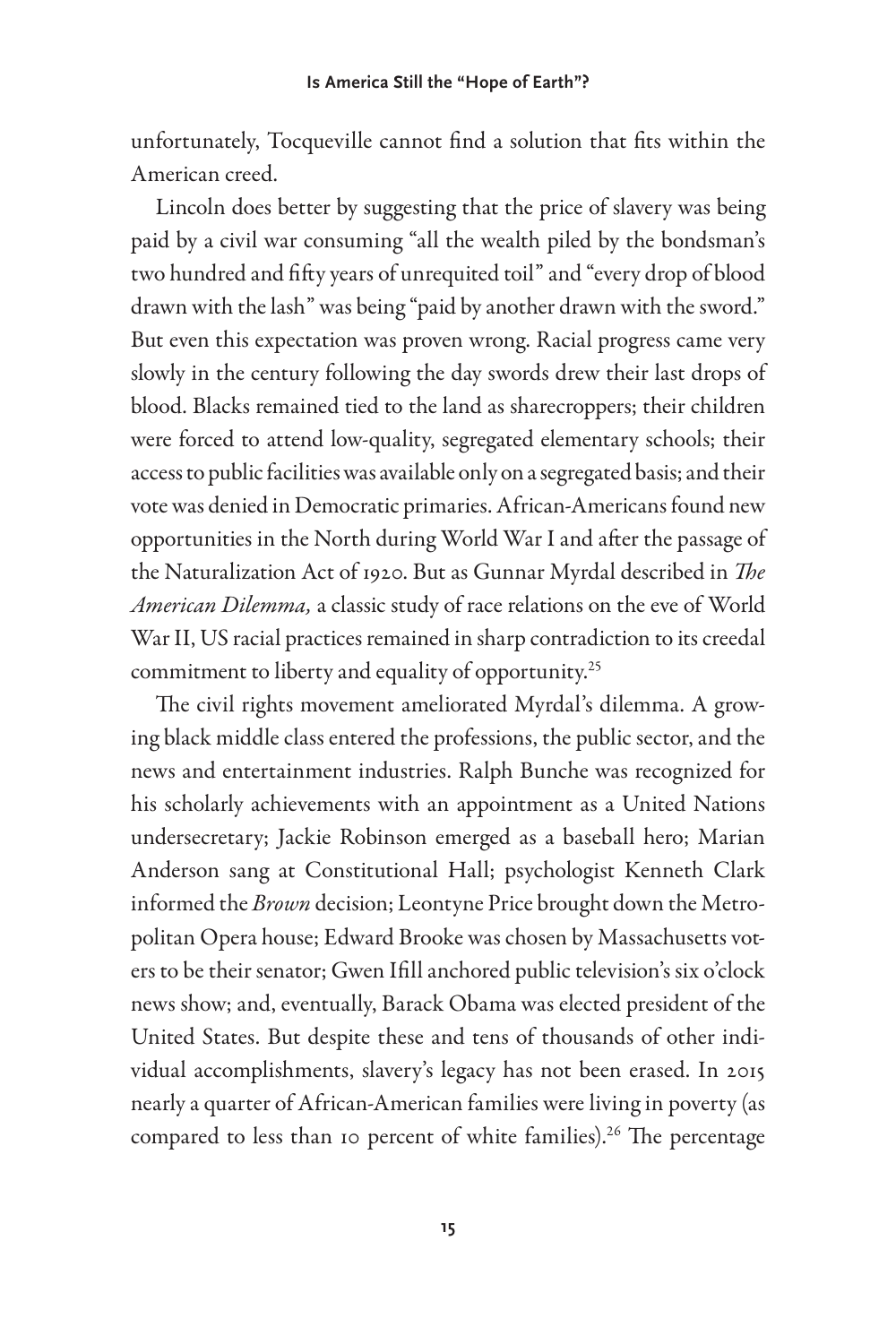unfortunately, Tocqueville cannot find a solution that fits within the American creed.

Lincoln does better by suggesting that the price of slavery was being paid by a civil war consuming "all the wealth piled by the bondsman's two hundred and fifty years of unrequited toil" and "every drop of blood drawn with the lash" was being "paid by another drawn with the sword." But even this expectation was proven wrong. Racial progress came very slowly in the century following the day swords drew their last drops of blood. Blacks remained tied to the land as sharecroppers; their children were forced to attend low-quality, segregated elementary schools; their access to public facilities was available only on a segregated basis; and their vote was denied in Democratic primaries. African- Americans found new opportunities in the North during World War I and after the passage of the Naturalization Act of 1920. But as Gunnar Myrdal described in *The American Dilemma,* a classic study of race relations on the eve of World War II, US racial practices remained in sharp contradiction to its creedal commitment to liberty and equality of opportunity.25

The civil rights movement ameliorated Myrdal's dilemma. A growing black middle class entered the professions, the public sector, and the news and entertainment industries. Ralph Bunche was recognized for his scholarly achievements with an appointment as a United Nations under secretary; Jackie Robinson emerged as a baseball hero; Marian Anderson sang at Constitutional Hall; psychologist Kenneth Clark informed the *Brown* decision; Leontyne Price brought down the Metropolitan Opera house; Edward Brooke was chosen by Massachusetts voters to be their senator; Gwen Ifill anchored public television's six o'clock news show; and, eventually, Barack Obama was elected president of the United States. But despite these and tens of thousands of other individual accomplishments, slavery's legacy has not been erased. In 2015 nearly a quarter of African- American families were living in poverty (as compared to less than 10 percent of white families).<sup>26</sup> The percentage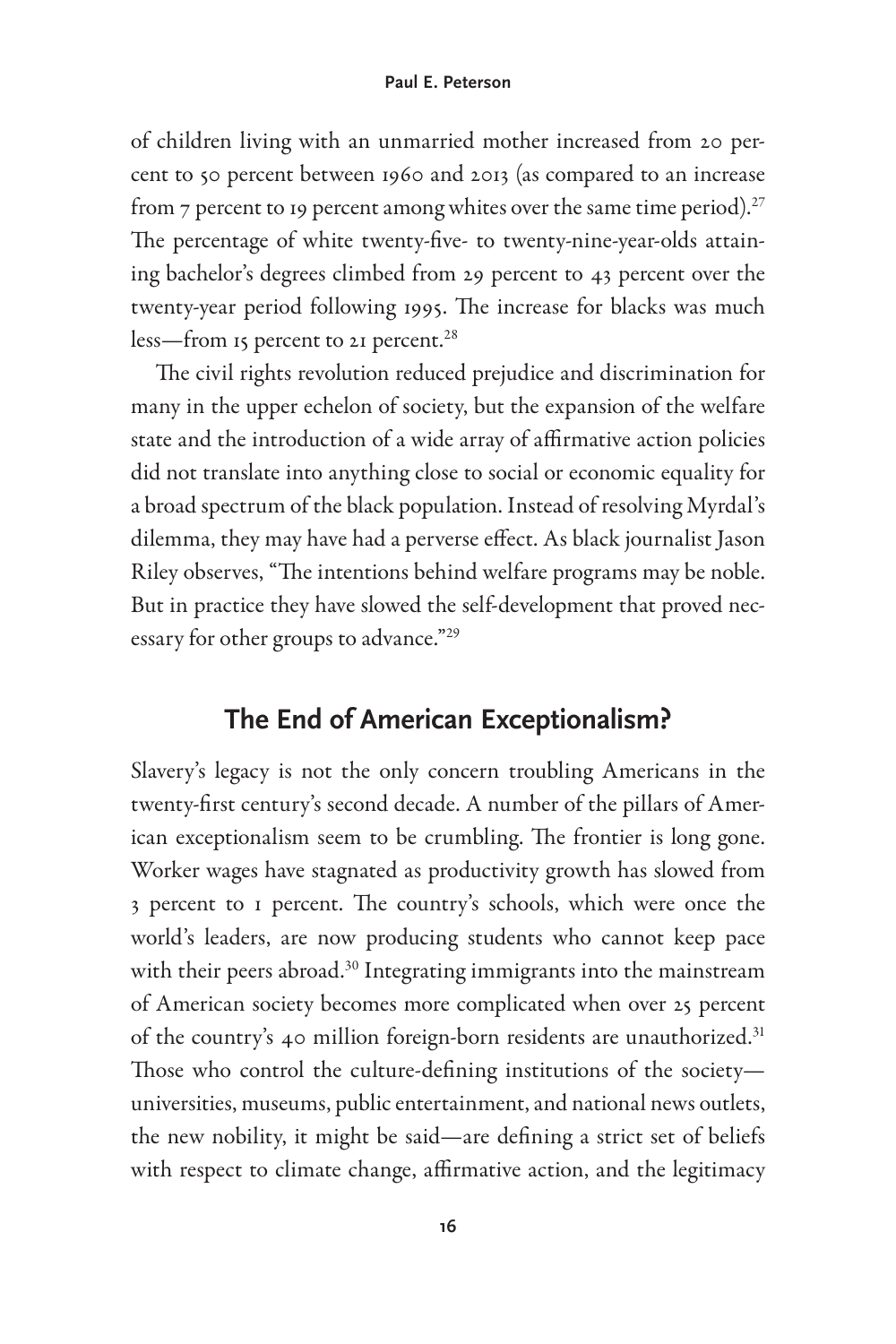of children living with an unmarried mother increased from 20 percent to 50 percent between 1960 and 2013 (as compared to an increase from  $7$  percent to 19 percent among whites over the same time period).<sup>27</sup> The percentage of white twenty-five- to twenty-nine-year-olds attaining bachelor's degrees climbed from 29 percent to 43 percent over the twenty-year period following 1995. The increase for blacks was much less—from 15 percent to 21 percent.<sup>28</sup>

The civil rights revolution reduced prejudice and discrimination for many in the upper echelon of society, but the expansion of the welfare state and the introduction of a wide array of affirmative action policies did not translate into anything close to social or economic equality for a broad spectrum of the black population. Instead of resolving Myrdal's dilemma, they may have had a perverse effect. As black journalist Jason Riley observes, "The intentions behind welfare programs may be noble. But in practice they have slowed the self-development that proved necessary for other groups to advance."29

# **The End of American Exceptionalism?**

Slavery's legacy is not the only concern troubling Americans in the twenty-first century's second decade. A number of the pillars of American exceptionalism seem to be crumbling. The frontier is long gone. Worker wages have stagnated as productivity growth has slowed from 3 percent to 1 percent. The country's schools, which were once the world's leaders, are now producing students who cannot keep pace with their peers abroad.<sup>30</sup> Integrating immigrants into the mainstream of American society becomes more complicated when over 25 percent of the country's 40 million foreign-born residents are unauthorized.<sup>31</sup> Those who control the culture-defining institutions of the societyuniversities, museums, public entertainment, and national news outlets, the new nobility, it might be said—are defining a strict set of beliefs with respect to climate change, affirmative action, and the legitimacy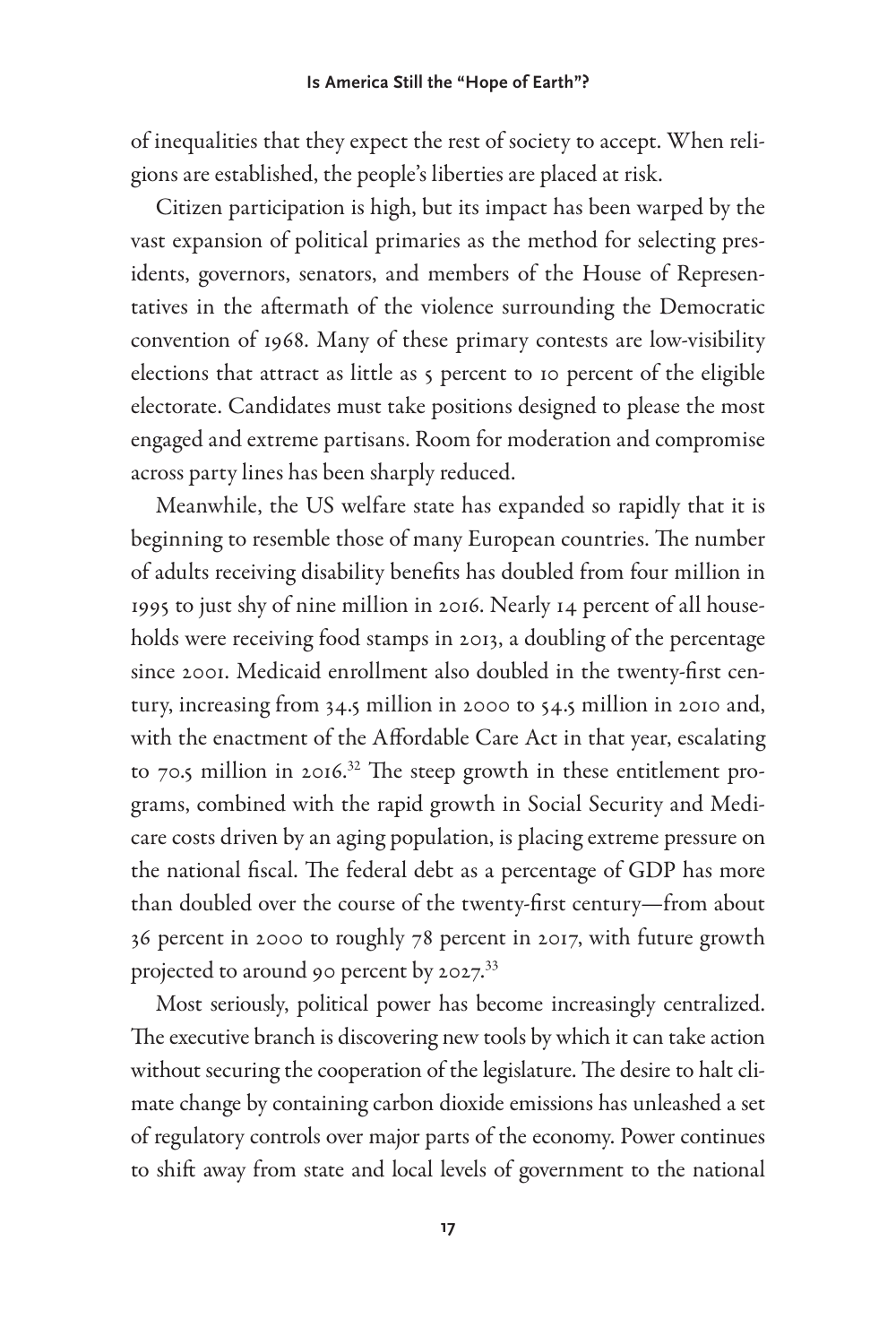of inequalities that they expect the rest of society to accept. When religions are established, the people's liberties are placed at risk.

Citizen participation is high, but its impact has been warped by the vast expansion of political primaries as the method for selecting presidents, governors, senators, and members of the House of Representatives in the aftermath of the violence surrounding the Democratic convention of 1968. Many of these primary contests are low-visibility elections that attract as little as 5 percent to 10 percent of the eligible electorate. Candidates must take positions designed to please the most engaged and extreme partisans. Room for moderation and compromise across party lines has been sharply reduced.

Meanwhile, the US welfare state has expanded so rapidly that it is beginning to resemble those of many European countries. The number of adults receiving disability benefits has doubled from four million in 1995 to just shy of nine million in 2016. Nearly 14 percent of all households were receiving food stamps in 2013, a doubling of the percentage since 2001. Medicaid enrollment also doubled in the twenty-first century, increasing from 34.5 million in 2000 to 54.5 million in 2010 and, with the enactment of the Affordable Care Act in that year, escalating to  $70.5$  million in 2016.<sup>32</sup> The steep growth in these entitlement programs, combined with the rapid growth in Social Security and Medicare costs driven by an aging population, is placing extreme pressure on the national fiscal. The federal debt as a percentage of GDP has more than doubled over the course of the twenty-first century-from about 36 percent in 2000 to roughly 78 percent in 2017, with future growth projected to around 90 percent by 2027.<sup>33</sup>

Most seriously, political power has become increasingly centralized. The executive branch is discovering new tools by which it can take action without securing the cooperation of the legislature. The desire to halt climate change by containing carbon dioxide emissions has unleashed a set of regulatory controls over major parts of the economy. Power continues to shift away from state and local levels of government to the national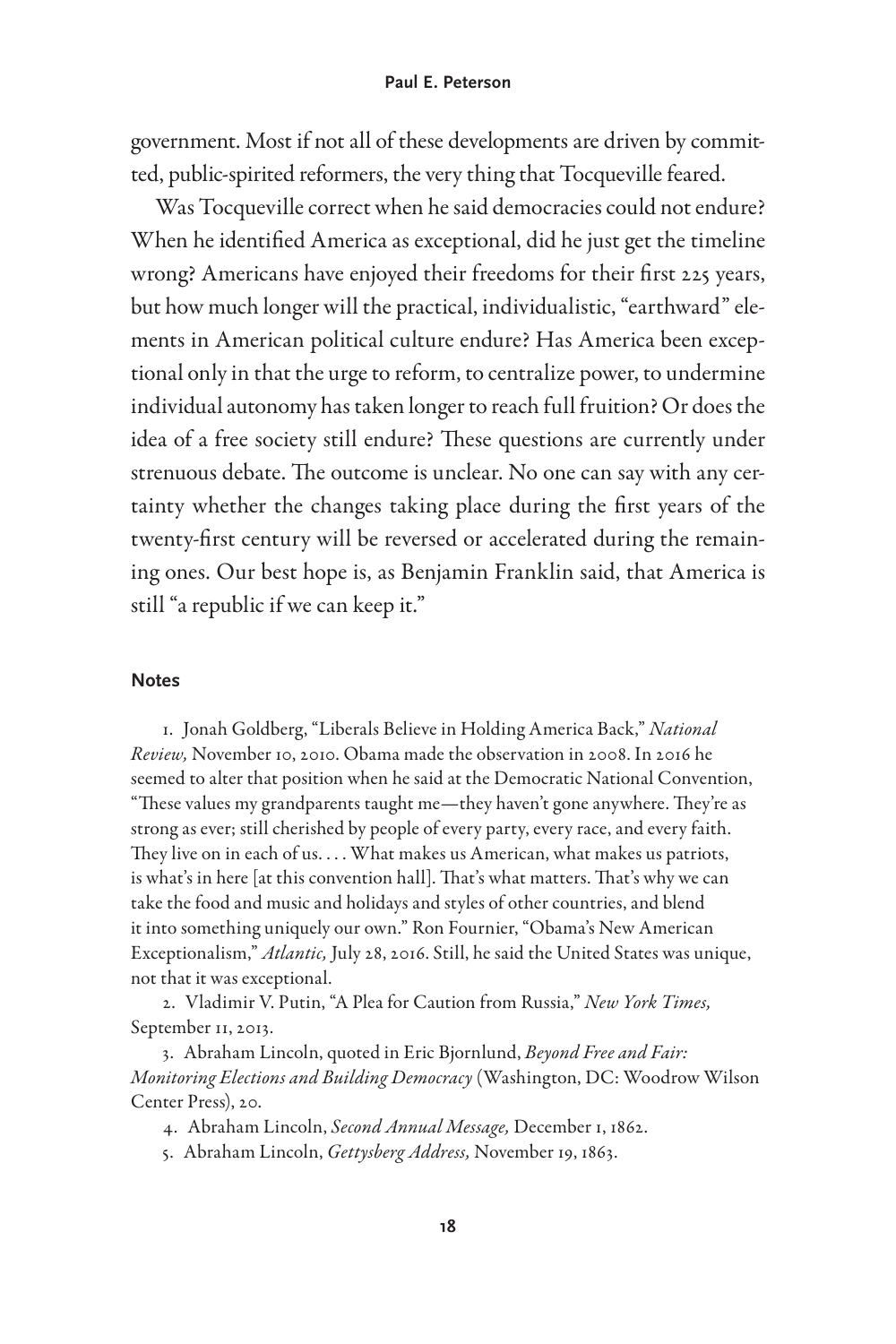government. Most if not all of these developments are driven by committed, public- spirited reformers, the very thing that Tocqueville feared.

Was Tocqueville correct when he said democracies could not endure? When he identified America as exceptional, did he just get the timeline wrong? Americans have enjoyed their freedoms for their first 225 years, but how much longer will the practical, individualistic, "earthward" elements in American political culture endure? Has America been exceptional only in that the urge to reform, to centralize power, to undermine individual autonomy has taken longer to reach full fruition? Or does the idea of a free society still endure? These questions are currently under strenuous debate. The outcome is unclear. No one can say with any certainty whether the changes taking place during the first years of the twenty-first century will be reversed or accelerated during the remaining ones. Our best hope is, as Benjamin Franklin said, that America is still "a republic if we can keep it."

#### **Notes**

1. Jonah Goldberg, "Liberals Believe in Holding America Back," *National Review,* November 10, 2010. Obama made the observation in 2008. In 2016 he seemed to alter that position when he said at the Democratic National Convention, "These values my grandparents taught me—they haven't gone anywhere. They're as strong as ever; still cherished by people of every party, every race, and every faith. They live on in each of us. . . . What makes us American, what makes us patriots, is what's in here [at this convention hall]. That's what matters. That's why we can take the food and music and holidays and styles of other countries, and blend it into something uniquely our own." Ron Fournier, "Obama's New American Exceptionalism," *Atlantic,* July 28, 2016. Still, he said the United States was unique, not that it was exceptional.

2. Vladimir V. Putin, "A Plea for Caution from Russia," *New York Times,* September 11, 2013.

3. Abraham Lincoln, quoted in Eric Bjornlund, *Beyond Free and Fair: Monitoring Elections and Building Democracy* (Washington, DC: Woodrow Wilson Center Press), 20.

4. Abraham Lincoln, *Second Annual Message,* December 1, 1862.

5. Abraham Lincoln, *Gettysberg Address,* November 19, 1863.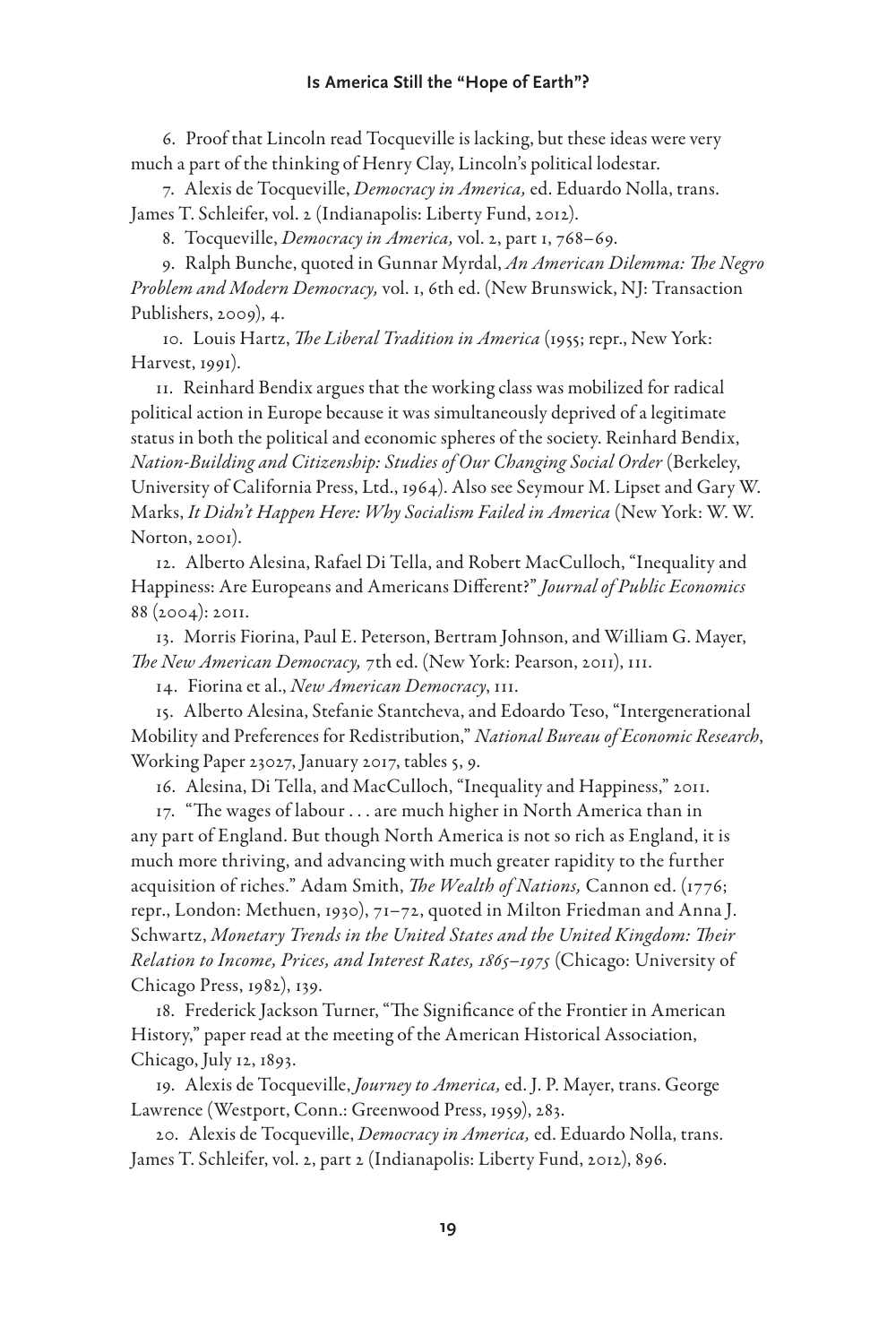#### **Is America Still the "Hope of Earth"?**

6. Proof that Lincoln read Tocqueville is lacking, but these ideas were very much a part of the thinking of Henry Clay, Lincoln's political lodestar.

7. Alexis de Tocqueville, *Democracy in America,* ed. Eduardo Nolla, trans. James T. Schleifer, vol. 2 (Indianapolis: Liberty Fund, 2012).

8. Tocqueville, *Democracy in America,* vol. 2, part 1, 768–69.

9. Ralph Bunche, quoted in Gunnar Myrdal, *An American Dilemma: The Negro Problem and Modern Democracy,* vol. 1, 6th ed. (New Brunswick, NJ: Transaction Publishers, 2009), 4.

10. Louis Hartz, *The Liberal Tradition in America* (1955; repr., New York: Harvest, 1991).

11. Reinhard Bendix argues that the working class was mobilized for radical political action in Europe because it was simultaneously deprived of a legitimate status in both the political and economic spheres of the society. Reinhard Bendix, *Nation- Building and Citizenship: Studies of Our Changing Social Order* (Berkeley, University of California Press, Ltd., 1964). Also see Seymour M. Lipset and Gary W. Marks, *It Didn't Happen Here: Why Socialism Failed in America* (New York: W. W. Norton, 2001).

12. Alberto Alesina, Rafael Di Tella, and Robert MacCulloch, "Inequality and Happiness: Are Europeans and Americans Different?" *Journal of Public Economics* 88 (2004): 2011.

13. Morris Fiorina, Paul E. Peterson, Bertram Johnson, and William G. Mayer, The New American Democracy, 7th ed. (New York: Pearson, 2011), 111.

14. Fiorina et al., *New American Democracy*, 111.

15. Alberto Alesina, Stefanie Stantcheva, and Edoardo Teso, "Intergenerational Mobility and Preferences for Redistribution," *National Bureau of Economic Research*, Working Paper 23027, January 2017, tables 5, 9.

16. Alesina, Di Tella, and MacCulloch, "Inequality and Happiness," 2011.

17. "The wages of labour . . . are much higher in North America than in any part of England. But though North America is not so rich as England, it is much more thriving, and advancing with much greater rapidity to the further acquisition of riches." Adam Smith, *The Wealth of Nations*, Cannon ed. (1776; repr., London: Methuen, 1930), 71–72, quoted in Milton Friedman and Anna J. Schwartz, Monetary Trends in the United States and the United Kingdom: Their *Relation to Income, Prices, and Interest Rates, 1865–1975* (Chicago: University of Chicago Press, 1982), 139.

18. Frederick Jackson Turner, "The Significance of the Frontier in American History," paper read at the meeting of the American Historical Association, Chicago, July 12, 1893.

19. Alexis de Tocqueville, *Journey to America,* ed. J. P. Mayer, trans. George Lawrence (Westport, Conn.: Greenwood Press, 1959), 283.

20. Alexis de Tocqueville, *Democracy in America,* ed. Eduardo Nolla, trans. James T. Schleifer, vol. 2, part 2 (Indianapolis: Liberty Fund, 2012), 896.